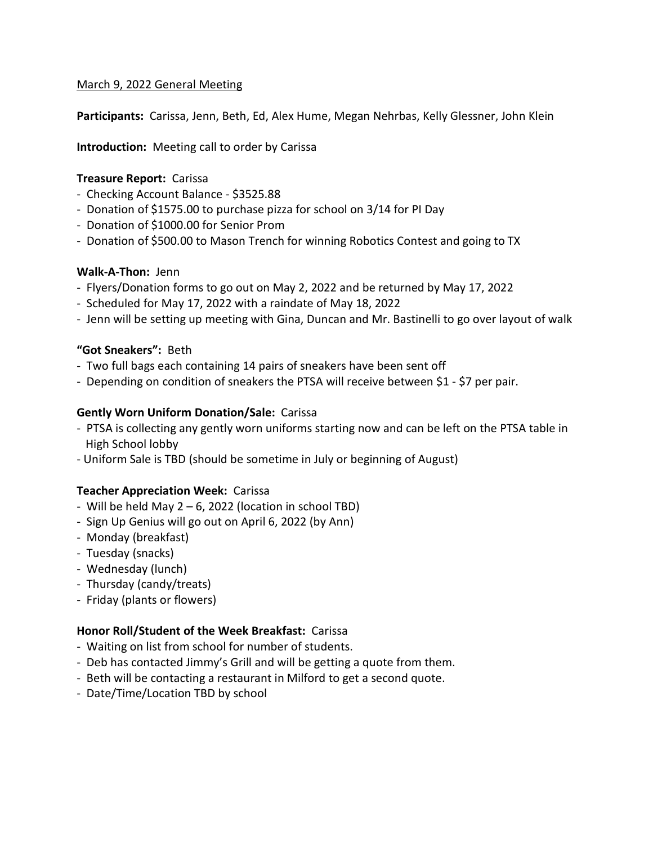#### March 9, 2022 General Meeting

**Participants:** Carissa, Jenn, Beth, Ed, Alex Hume, Megan Nehrbas, Kelly Glessner, John Klein

**Introduction:** Meeting call to order by Carissa

## **Treasure Report:** Carissa

- Checking Account Balance \$3525.88
- Donation of \$1575.00 to purchase pizza for school on 3/14 for PI Day
- Donation of \$1000.00 for Senior Prom
- Donation of \$500.00 to Mason Trench for winning Robotics Contest and going to TX

## **Walk-A-Thon:** Jenn

- Flyers/Donation forms to go out on May 2, 2022 and be returned by May 17, 2022
- Scheduled for May 17, 2022 with a raindate of May 18, 2022
- Jenn will be setting up meeting with Gina, Duncan and Mr. Bastinelli to go over layout of walk

## **"Got Sneakers":** Beth

- Two full bags each containing 14 pairs of sneakers have been sent off
- Depending on condition of sneakers the PTSA will receive between \$1 \$7 per pair.

## **Gently Worn Uniform Donation/Sale:** Carissa

- PTSA is collecting any gently worn uniforms starting now and can be left on the PTSA table in High School lobby
- Uniform Sale is TBD (should be sometime in July or beginning of August)

#### **Teacher Appreciation Week:** Carissa

- Will be held May  $2 6$ , 2022 (location in school TBD)
- Sign Up Genius will go out on April 6, 2022 (by Ann)
- Monday (breakfast)
- Tuesday (snacks)
- Wednesday (lunch)
- Thursday (candy/treats)
- Friday (plants or flowers)

# **Honor Roll/Student of the Week Breakfast:** Carissa

- Waiting on list from school for number of students.
- Deb has contacted Jimmy's Grill and will be getting a quote from them.
- Beth will be contacting a restaurant in Milford to get a second quote.
- Date/Time/Location TBD by school